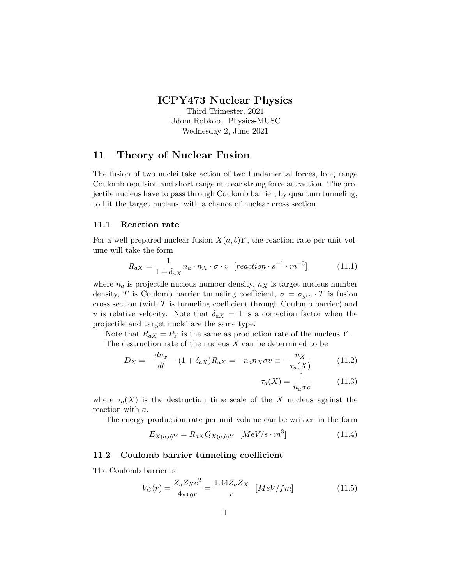# ICPY473 Nuclear Physics

Third Trimester, 2021 Udom Robkob, Physics-MUSC Wednesday 2, June 2021

# 11 Theory of Nuclear Fusion

The fusion of two nuclei take action of two fundamental forces, long range Coulomb repulsion and short range nuclear strong force attraction. The projectile nucleus have to pass through Coulomb barrier, by quantum tunneling, to hit the target nucleus, with a chance of nuclear cross section.

### 11.1 Reaction rate

For a well prepared nuclear fusion  $X(a, b)Y$ , the reaction rate per unit volume will take the form

$$
R_{aX} = \frac{1}{1 + \delta_{aX}} n_a \cdot n_X \cdot \sigma \cdot v \quad [reaction \cdot s^{-1} \cdot m^{-3}] \tag{11.1}
$$

where  $n_a$  is projectile nucleus number density,  $n_X$  is target nucleus number density, T is Coulomb barrier tunneling coefficient,  $\sigma = \sigma_{geo} \cdot T$  is fusion cross section (with  $T$  is tunneling coefficient through Coulomb barrier) and v is relative velocity. Note that  $\delta_{aX} = 1$  is a correction factor when the projectile and target nuclei are the same type.

Note that  $R_{aX} = P_Y$  is the same as production rate of the nucleus Y. The destruction rate of the nucleus  $X$  can be determined to be

$$
D_X = -\frac{dn_x}{dt} - (1 + \delta_{aX})R_{aX} = -n_a n_X \sigma v \equiv -\frac{n_X}{\tau_a(X)}\tag{11.2}
$$

$$
\tau_a(X) = \frac{1}{n_a \sigma v} \tag{11.3}
$$

where  $\tau_a(X)$  is the destruction time scale of the X nucleus against the reaction with a.

The energy production rate per unit volume can be written in the form

$$
E_{X(a,b)Y} = R_{aX} Q_{X(a,b)Y} \quad [MeV/s \cdot m^3]
$$
\n(11.4)

### 11.2 Coulomb barrier tunneling coefficient

The Coulomb barrier is

$$
V_C(r) = \frac{Z_a Z_X e^2}{4\pi\epsilon_0 r} = \frac{1.44 Z_a Z_X}{r} \quad [MeV/fm]
$$
\n(11.5)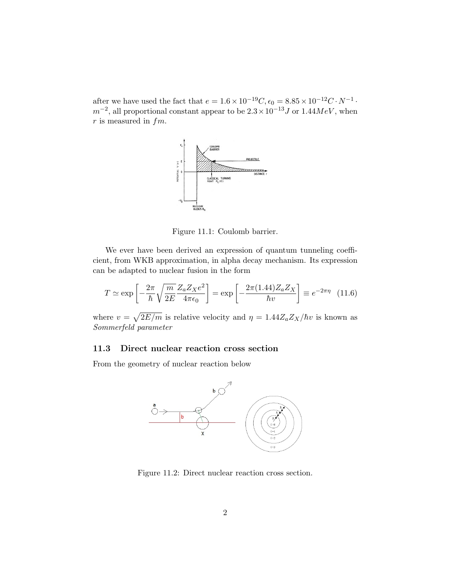after we have used the fact that  $e = 1.6 \times 10^{-19} C, \epsilon_0 = 8.85 \times 10^{-12} C \cdot N^{-1}$ .  $m^{-2}$ , all proportional constant appear to be  $2.3 \times 10^{-13} J$  or  $1.44 MeV$ , when  $r$  is measured in  $fm$ .



Figure 11.1: Coulomb barrier.

We ever have been derived an expression of quantum tunneling coefficient, from WKB approximation, in alpha decay mechanism. Its expression can be adapted to nuclear fusion in the form

$$
T \simeq \exp\left[-\frac{2\pi}{\hbar} \sqrt{\frac{m}{2E}} \frac{Z_a Z_X e^2}{4\pi \epsilon_0}\right] = \exp\left[-\frac{2\pi (1.44) Z_a Z_X}{\hbar v}\right] \equiv e^{-2\pi \eta} \quad (11.6)
$$

where  $v = \sqrt{2E/m}$  is relative velocity and  $\eta = 1.44 Z_a Z_X/\hbar v$  is known as Sommerfeld parameter

### 11.3 Direct nuclear reaction cross section

From the geometry of nuclear reaction below



Figure 11.2: Direct nuclear reaction cross section.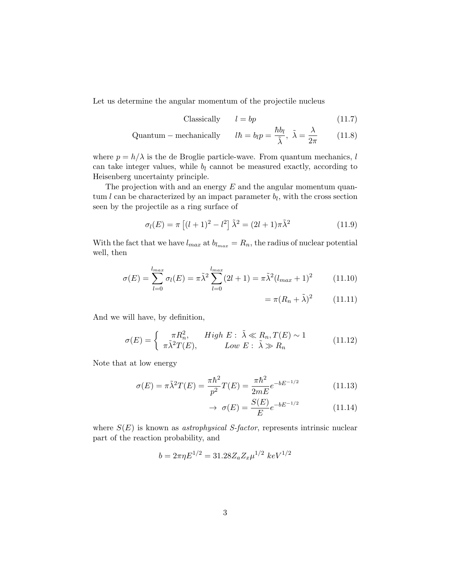Let us determine the angular momentum of the projectile nucleus

$$
Classically \t l = bp \t(11.7)
$$

Quantum – mechanically 
$$
l\hbar = b_l p = \frac{\hbar b_l}{\tilde{\lambda}}, \ \tilde{\lambda} = \frac{\lambda}{2\pi}
$$
 (11.8)

where  $p = h/\lambda$  is the de Broglie particle-wave. From quantum mechanics, l can take integer values, while  $b_l$  cannot be measured exactly, according to Heisenberg uncertainty principle.

The projection with and an energy  $E$  and the angular momentum quantum  $l$  can be characterized by an impact parameter  $b_l$ , with the cross section seen by the projectile as a ring surface of

$$
\sigma_l(E) = \pi \left[ (l+1)^2 - l^2 \right] \tilde{\lambda}^2 = (2l+1)\pi \tilde{\lambda}^2 \tag{11.9}
$$

With the fact that we have  $l_{max}$  at  $b_{l_{max}} = R_n$ , the radius of nuclear potential well, then

$$
\sigma(E) = \sum_{l=0}^{l_{max}} \sigma_l(E) = \pi \tilde{\lambda}^2 \sum_{l=0}^{l_{max}} (2l+1) = \pi \tilde{\lambda}^2 (l_{max}+1)^2 \qquad (11.10)
$$

$$
= \pi (R_n + \tilde{\lambda})^2 \qquad (11.11)
$$

And we will have, by definition,

$$
\sigma(E) = \begin{cases} \pi R_n^2, & High \ E: \ \tilde{\lambda} \ll R_n, T(E) \sim 1 \\ \pi \tilde{\lambda}^2 T(E), & Low \ E: \ \tilde{\lambda} \gg R_n \end{cases}
$$
(11.12)

Note that at low energy

$$
\sigma(E) = \pi \tilde{\lambda}^2 T(E) = \frac{\pi \hbar^2}{p^2} T(E) = \frac{\pi \hbar^2}{2mE} e^{-bE^{-1/2}}
$$
(11.13)

$$
\rightarrow \sigma(E) = \frac{S(E)}{E} e^{-bE^{-1/2}} \tag{11.14}
$$

where  $S(E)$  is known as *astrophysical S-factor*, represents intrinsic nuclear part of the reaction probability, and

$$
b = 2\pi \eta E^{1/2} = 31.28 Z_a Z_x \mu^{1/2} \ keV^{1/2}
$$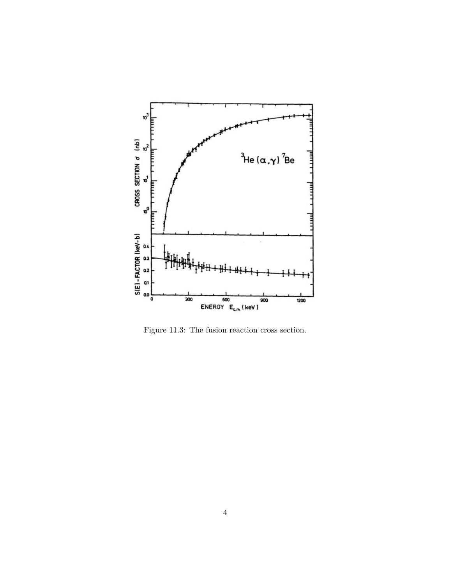

Figure 11.3: The fusion reaction cross section.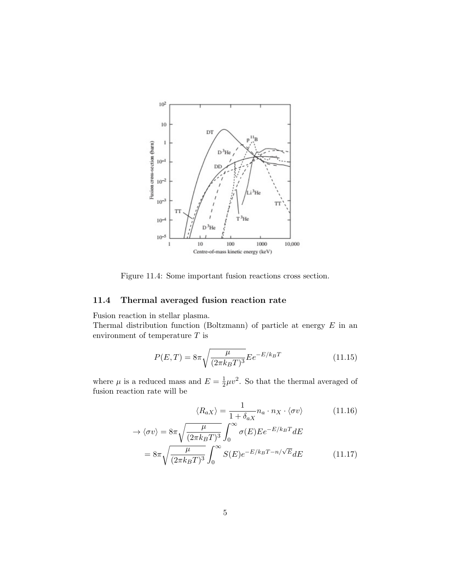

Figure 11.4: Some important fusion reactions cross section.

## 11.4 Thermal averaged fusion reaction rate

Fusion reaction in stellar plasma.

Thermal distribution function (Boltzmann) of particle at energy  $E$  in an environment of temperature  $T$  is

$$
P(E,T) = 8\pi \sqrt{\frac{\mu}{(2\pi k_B T)^3}} E e^{-E/k_B T}
$$
 (11.15)

where  $\mu$  is a reduced mass and  $E = \frac{1}{2}$  $\frac{1}{2}\mu v^2$ . So that the thermal averaged of fusion reaction rate will be

$$
\langle R_{aX} \rangle = \frac{1}{1 + \delta_{aX}} n_a \cdot n_X \cdot \langle \sigma v \rangle \tag{11.16}
$$

$$
\rightarrow \langle \sigma v \rangle = 8\pi \sqrt{\frac{\mu}{(2\pi k_B T)^3}} \int_0^\infty \sigma(E) E e^{-E/k_B T} dE
$$

$$
= 8\pi \sqrt{\frac{\mu}{(2\pi k_B T)^3}} \int_0^\infty S(E) e^{-E/k_B T - n/\sqrt{E}} dE \qquad (11.17)
$$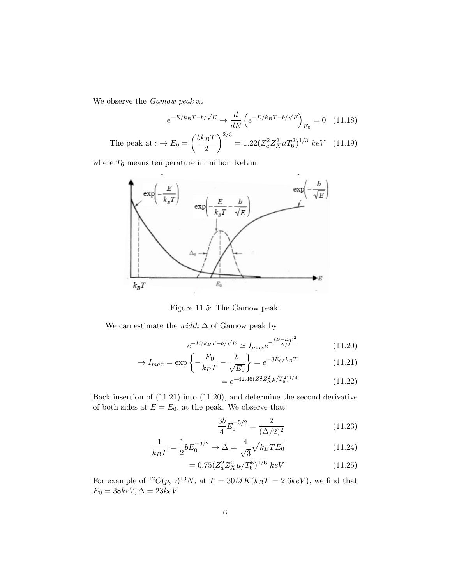We observe the Gamow peak at

$$
e^{-E/k_BT - b/\sqrt{E}} \to \frac{d}{dE} \left( e^{-E/k_BT - b/\sqrt{E}} \right)_{E_0} = 0 \quad (11.18)
$$

The peak at: 
$$
\rightarrow E_0 = \left(\frac{bk_BT}{2}\right)^{2/3} = 1.22(Z_a^2 Z_X^2 \mu T_6^2)^{1/3} keV
$$
 (11.19)

where  $T_{\rm 6}$  means temperature in million Kelvin.



Figure 11.5: The Gamow peak.

We can estimate the *width*  $\Delta$  of Gamow peak by

$$
e^{-E/k_B T - b/\sqrt{E}} \simeq I_{max} e^{-\frac{(E - E_0)^2}{\Delta/2}}
$$
(11.20)

$$
\rightarrow I_{max} = \exp\left\{-\frac{E_0}{k_B T} - \frac{b}{\sqrt{E_0}}\right\} = e^{-3E_0/k_B T} \tag{11.21}
$$

$$
=e^{-42.46(Z_a^2 Z_X^2 \mu/T_6^2)^{1/3}}\tag{11.22}
$$

Back insertion of (11.21) into (11.20), and determine the second derivative of both sides at  ${\cal E}={\cal E}_0,$  at the peak. We observe that

$$
\frac{3b}{4}E_0^{-5/2} = \frac{2}{(\Delta/2)^2}
$$
 (11.23)

$$
\frac{1}{k_B T} = \frac{1}{2} b E_0^{-3/2} \to \Delta = \frac{4}{\sqrt{3}} \sqrt{k_B T E_0}
$$
(11.24)

$$
= 0.75 (Z_a^2 Z_X^2 \mu / T_6^5)^{1/6} \ keV \tag{11.25}
$$

For example of <sup>12</sup>C(p,  $\gamma$ )<sup>13</sup>N, at T = 30MK(k<sub>B</sub>T = 2.6keV), we find that  $E_0 = 38 keV, \Delta = 23 keV$